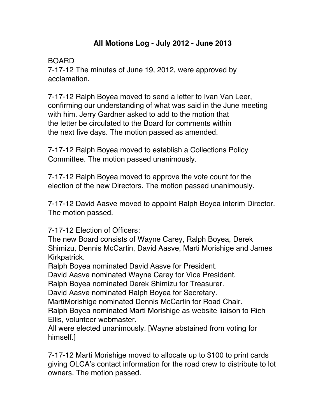# **All Motions Log - July 2012 - June 2013**

### BOARD

7-17-12 The minutes of June 19, 2012, were approved by acclamation.

7-17-12 Ralph Boyea moved to send a letter to Ivan Van Leer, confirming our understanding of what was said in the June meeting with him. Jerry Gardner asked to add to the motion that the letter be circulated to the Board for comments within the next five days. The motion passed as amended.

7-17-12 Ralph Boyea moved to establish a Collections Policy Committee. The motion passed unanimously.

7-17-12 Ralph Boyea moved to approve the vote count for the election of the new Directors. The motion passed unanimously.

7-17-12 David Aasve moved to appoint Ralph Boyea interim Director. The motion passed.

7-17-12 Election of Officers:

The new Board consists of Wayne Carey, Ralph Boyea, Derek Shimizu, Dennis McCartin, David Aasve, Marti Morishige and James Kirkpatrick.

Ralph Boyea nominated David Aasve for President.

David Aasve nominated Wayne Carey for Vice President.

Ralph Boyea nominated Derek Shimizu for Treasurer.

David Aasve nominated Ralph Boyea for Secretary.

MartiMorishige nominated Dennis McCartin for Road Chair.

Ralph Boyea nominated Marti Morishige as website liaison to Rich Ellis, volunteer webmaster.

All were elected unanimously. [Wayne abstained from voting for himself.]

7-17-12 Marti Morishige moved to allocate up to \$100 to print cards giving OLCA's contact information for the road crew to distribute to lot owners. The motion passed.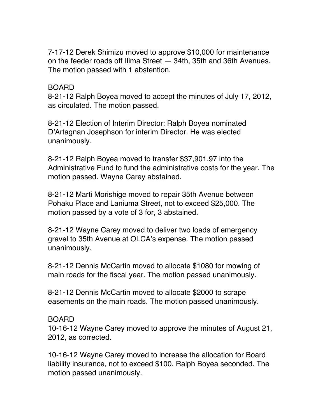7-17-12 Derek Shimizu moved to approve \$10,000 for maintenance on the feeder roads off Ilima Street — 34th, 35th and 36th Avenues. The motion passed with 1 abstention.

#### BOARD

8-21-12 Ralph Boyea moved to accept the minutes of July 17, 2012, as circulated. The motion passed.

8-21-12 Election of Interim Director: Ralph Boyea nominated D'Artagnan Josephson for interim Director. He was elected unanimously.

8-21-12 Ralph Boyea moved to transfer \$37,901.97 into the Administrative Fund to fund the administrative costs for the year. The motion passed. Wayne Carey abstained.

8-21-12 Marti Morishige moved to repair 35th Avenue between Pohaku Place and Laniuma Street, not to exceed \$25,000. The motion passed by a vote of 3 for, 3 abstained.

8-21-12 Wayne Carey moved to deliver two loads of emergency gravel to 35th Avenue at OLCA's expense. The motion passed unanimously.

8-21-12 Dennis McCartin moved to allocate \$1080 for mowing of main roads for the fiscal year. The motion passed unanimously.

8-21-12 Dennis McCartin moved to allocate \$2000 to scrape easements on the main roads. The motion passed unanimously.

### BOARD

10-16-12 Wayne Carey moved to approve the minutes of August 21, 2012, as corrected.

10-16-12 Wayne Carey moved to increase the allocation for Board liability insurance, not to exceed \$100. Ralph Boyea seconded. The motion passed unanimously.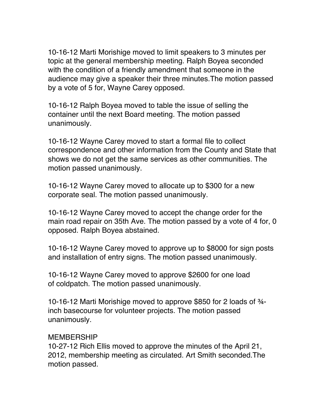10-16-12 Marti Morishige moved to limit speakers to 3 minutes per topic at the general membership meeting. Ralph Boyea seconded with the condition of a friendly amendment that someone in the audience may give a speaker their three minutes.The motion passed by a vote of 5 for, Wayne Carey opposed.

10-16-12 Ralph Boyea moved to table the issue of selling the container until the next Board meeting. The motion passed unanimously.

10-16-12 Wayne Carey moved to start a formal file to collect correspondence and other information from the County and State that shows we do not get the same services as other communities. The motion passed unanimously.

10-16-12 Wayne Carey moved to allocate up to \$300 for a new corporate seal. The motion passed unanimously.

10-16-12 Wayne Carey moved to accept the change order for the main road repair on 35th Ave. The motion passed by a vote of 4 for, 0 opposed. Ralph Boyea abstained.

10-16-12 Wayne Carey moved to approve up to \$8000 for sign posts and installation of entry signs. The motion passed unanimously.

10-16-12 Wayne Carey moved to approve \$2600 for one load of coldpatch. The motion passed unanimously.

10-16-12 Marti Morishige moved to approve \$850 for 2 loads of ¾ inch basecourse for volunteer projects. The motion passed unanimously.

#### **MEMBERSHIP**

10-27-12 Rich Ellis moved to approve the minutes of the April 21, 2012, membership meeting as circulated. Art Smith seconded.The motion passed.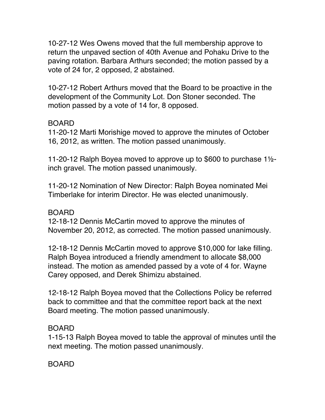10-27-12 Wes Owens moved that the full membership approve to return the unpaved section of 40th Avenue and Pohaku Drive to the paving rotation. Barbara Arthurs seconded; the motion passed by a vote of 24 for, 2 opposed, 2 abstained.

10-27-12 Robert Arthurs moved that the Board to be proactive in the development of the Community Lot. Don Stoner seconded. The motion passed by a vote of 14 for, 8 opposed.

### BOARD

11-20-12 Marti Morishige moved to approve the minutes of October 16, 2012, as written. The motion passed unanimously.

11-20-12 Ralph Boyea moved to approve up to \$600 to purchase 1½ inch gravel. The motion passed unanimously.

11-20-12 Nomination of New Director: Ralph Boyea nominated Mei Timberlake for interim Director. He was elected unanimously.

### BOARD

12-18-12 Dennis McCartin moved to approve the minutes of November 20, 2012, as corrected. The motion passed unanimously.

12-18-12 Dennis McCartin moved to approve \$10,000 for lake filling. Ralph Boyea introduced a friendly amendment to allocate \$8,000 instead. The motion as amended passed by a vote of 4 for. Wayne Carey opposed, and Derek Shimizu abstained.

12-18-12 Ralph Boyea moved that the Collections Policy be referred back to committee and that the committee report back at the next Board meeting. The motion passed unanimously.

### BOARD

1-15-13 Ralph Boyea moved to table the approval of minutes until the next meeting. The motion passed unanimously.

BOARD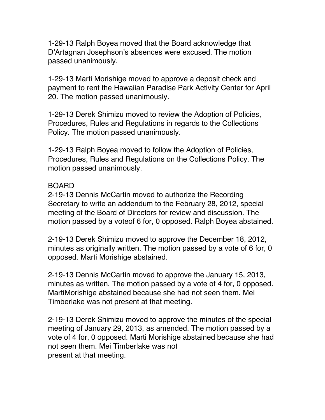1-29-13 Ralph Boyea moved that the Board acknowledge that D'Artagnan Josephson's absences were excused. The motion passed unanimously.

1-29-13 Marti Morishige moved to approve a deposit check and payment to rent the Hawaiian Paradise Park Activity Center for April 20. The motion passed unanimously.

1-29-13 Derek Shimizu moved to review the Adoption of Policies, Procedures, Rules and Regulations in regards to the Collections Policy. The motion passed unanimously.

1-29-13 Ralph Boyea moved to follow the Adoption of Policies, Procedures, Rules and Regulations on the Collections Policy. The motion passed unanimously.

### BOARD

2-19-13 Dennis McCartin moved to authorize the Recording Secretary to write an addendum to the February 28, 2012, special meeting of the Board of Directors for review and discussion. The motion passed by a voteof 6 for, 0 opposed. Ralph Boyea abstained.

2-19-13 Derek Shimizu moved to approve the December 18, 2012, minutes as originally written. The motion passed by a vote of 6 for, 0 opposed. Marti Morishige abstained.

2-19-13 Dennis McCartin moved to approve the January 15, 2013, minutes as written. The motion passed by a vote of 4 for, 0 opposed. MartiMorishige abstained because she had not seen them. Mei Timberlake was not present at that meeting.

2-19-13 Derek Shimizu moved to approve the minutes of the special meeting of January 29, 2013, as amended. The motion passed by a vote of 4 for, 0 opposed. Marti Morishige abstained because she had not seen them. Mei Timberlake was not present at that meeting.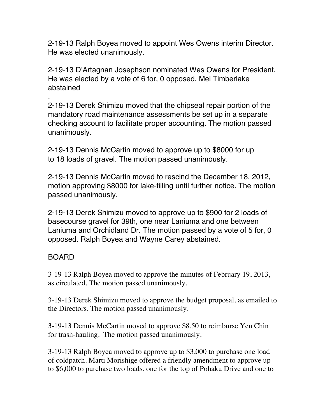2-19-13 Ralph Boyea moved to appoint Wes Owens interim Director. He was elected unanimously.

2-19-13 D'Artagnan Josephson nominated Wes Owens for President. He was elected by a vote of 6 for, 0 opposed. Mei Timberlake abstained

. 2-19-13 Derek Shimizu moved that the chipseal repair portion of the mandatory road maintenance assessments be set up in a separate checking account to facilitate proper accounting. The motion passed unanimously.

2-19-13 Dennis McCartin moved to approve up to \$8000 for up to 18 loads of gravel. The motion passed unanimously.

2-19-13 Dennis McCartin moved to rescind the December 18, 2012, motion approving \$8000 for lake-filling until further notice. The motion passed unanimously.

2-19-13 Derek Shimizu moved to approve up to \$900 for 2 loads of basecourse gravel for 39th, one near Laniuma and one between Laniuma and Orchidland Dr. The motion passed by a vote of 5 for, 0 opposed. Ralph Boyea and Wayne Carey abstained.

### BOARD

3-19-13 Ralph Boyea moved to approve the minutes of February 19, 2013, as circulated. The motion passed unanimously.

3-19-13 Derek Shimizu moved to approve the budget proposal, as emailed to the Directors. The motion passed unanimously.

3-19-13 Dennis McCartin moved to approve \$8.50 to reimburse Yen Chin for trash-hauling. The motion passed unanimously.

3-19-13 Ralph Boyea moved to approve up to \$3,000 to purchase one load of coldpatch. Marti Morishige offered a friendly amendment to approve up to \$6,000 to purchase two loads, one for the top of Pohaku Drive and one to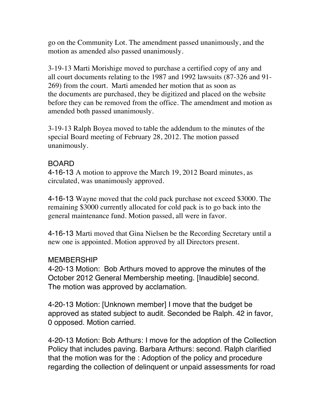go on the Community Lot. The amendment passed unanimously, and the motion as amended also passed unanimously.

3-19-13 Marti Morishige moved to purchase a certified copy of any and all court documents relating to the 1987 and 1992 lawsuits (87-326 and 91- 269) from the court. Marti amended her motion that as soon as the documents are purchased, they be digitized and placed on the website before they can be removed from the office. The amendment and motion as amended both passed unanimously.

3-19-13 Ralph Boyea moved to table the addendum to the minutes of the special Board meeting of February 28, 2012. The motion passed unanimously.

# BOARD

4-16-13 A motion to approve the March 19, 2012 Board minutes, as circulated, was unanimously approved.

4-16-13 Wayne moved that the cold pack purchase not exceed \$3000. The remaining \$3000 currently allocated for cold pack is to go back into the general maintenance fund. Motion passed, all were in favor.

4-16-13 Marti moved that Gina Nielsen be the Recording Secretary until a new one is appointed. Motion approved by all Directors present.

### **MEMBERSHIP**

4-20-13 Motion: Bob Arthurs moved to approve the minutes of the October 2012 General Membership meeting. [Inaudible] second. The motion was approved by acclamation.

4-20-13 Motion: [Unknown member] I move that the budget be approved as stated subject to audit. Seconded be Ralph. 42 in favor, 0 opposed. Motion carried.

4-20-13 Motion: Bob Arthurs: I move for the adoption of the Collection Policy that includes paving. Barbara Arthurs: second. Ralph clarified that the motion was for the : Adoption of the policy and procedure regarding the collection of delinquent or unpaid assessments for road